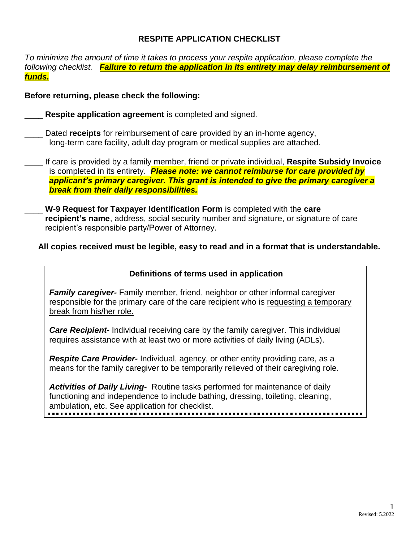# **RESPITE APPLICATION CHECKLIST**

*To minimize the amount of time it takes to process your respite application, please complete the following checklist. Failure to return the application in its entirety may delay reimbursement of funds.*

### **Before returning, please check the following:**

**Respite application agreement** is completed and signed.

Dated **receipts** for reimbursement of care provided by an in-home agency, long-term care facility, adult day program or medical supplies are attached.

- If care is provided by a family member, friend or private individual, **Respite Subsidy Invoice** is completed in its entirety. *Please note: we cannot reimburse for care provided by applicant's primary caregiver. This grant is intended to give the primary caregiver a break from their daily responsibilities.*
	- \_\_\_\_ **W-9 Request for Taxpayer Identification Form** is completed with the **care recipient's name**, address, social security number and signature, or signature of care recipient's responsible party/Power of Attorney.

### **All copies received must be legible, easy to read and in a format that is understandable.**

# **Definitions of terms used in application**

*Family caregiver-* Family member, friend, neighbor or other informal caregiver responsible for the primary care of the care recipient who is requesting a temporary break from his/her role.

*Care Recipient-* Individual receiving care by the family caregiver. This individual requires assistance with at least two or more activities of daily living (ADLs).

*Respite Care Provider-* Individual, agency, or other entity providing care, as a means for the family caregiver to be temporarily relieved of their caregiving role.

*Activities of Daily Living-* Routine tasks performed for maintenance of daily functioning and independence to include bathing, dressing, toileting, cleaning, ambulation, etc. See application for checklist.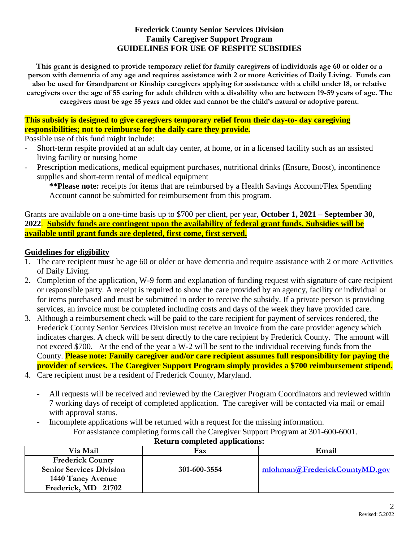### **Frederick County Senior Services Division Family Caregiver Support Program GUIDELINES FOR USE OF RESPITE SUBSIDIES**

**This grant is designed to provide temporary relief for family caregivers of individuals age 60 or older or a person with dementia of any age and requires assistance with 2 or more Activities of Daily Living. Funds can also be used for Grandparent or Kinship caregivers applying for assistance with a child under 18, or relative caregivers over the age of 55 caring for adult children with a disability who are between 19-59 years of age. The caregivers must be age 55 years and older and cannot be the child's natural or adoptive parent.** 

# **This subsidy is designed to give caregivers temporary relief from their day-to- day caregiving responsibilities; not to reimburse for the daily care they provide.**

Possible use of this fund might include:

- Short-term respite provided at an adult day center, at home, or in a licensed facility such as an assisted living facility or nursing home
- Prescription medications, medical equipment purchases, nutritional drinks (Ensure, Boost), incontinence supplies and short-term rental of medical equipment

**\*\*Please note:** receipts for items that are reimbursed by a Health Savings Account/Flex Spending Account cannot be submitted for reimbursement from this program.

Grants are available on a one-time basis up to \$700 per client, per year, **October 1, 2021 – September 30, 2022**. **Subsidy funds are contingent upon the availability of federal grant funds. Subsidies will be available until grant funds are depleted, first come, first served.**

### **Guidelines for eligibility**

- 1. The care recipient must be age 60 or older or have dementia and require assistance with 2 or more Activities of Daily Living.
- 2. Completion of the application, W-9 form and explanation of funding request with signature of care recipient or responsible party. A receipt is required to show the care provided by an agency, facility or individual or for items purchased and must be submitted in order to receive the subsidy. If a private person is providing services, an invoice must be completed including costs and days of the week they have provided care.
- 3. Although a reimbursement check will be paid to the care recipient for payment of services rendered, the Frederick County Senior Services Division must receive an invoice from the care provider agency which indicates charges. A check will be sent directly to the care recipient by Frederick County. The amount will not exceed \$700. At the end of the year a W-2 will be sent to the individual receiving funds from the County. **Please note: Family caregiver and/or care recipient assumes full responsibility for paying the provider of services. The Caregiver Support Program simply provides a \$700 reimbursement stipend.**
- 4. Care recipient must be a resident of Frederick County, Maryland.
	- All requests will be received and reviewed by the Caregiver Program Coordinators and reviewed within 7 working days of receipt of completed application. The caregiver will be contacted via mail or email with approval status.
	- Incomplete applications will be returned with a request for the missing information. For assistance completing forms call the Caregiver Support Program at 301-600-6001.

|                                 | <u>international completed</u> applications. |                               |
|---------------------------------|----------------------------------------------|-------------------------------|
| Via Mail                        | Fax                                          | Email                         |
| <b>Frederick County</b>         |                                              |                               |
| <b>Senior Services Division</b> | 301-600-3554                                 | mlohman@FrederickCountyMD.gov |
| 1440 Taney Avenue               |                                              |                               |
| Frederick, MD 21702             |                                              |                               |

# **Return completed applications:**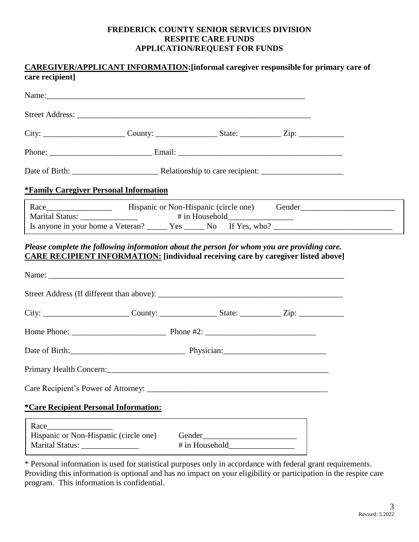#### **FREDERICK COUNTY SENIOR SERVICES DIVISION RESPITE CARE FUNDS APPLICATION/REQUEST FOR FUNDS**

|                                                                           |  | <b>CAREGIVER/APPLICANT INFORMATION:</b> [informal caregiver responsible for primary care of |  |
|---------------------------------------------------------------------------|--|---------------------------------------------------------------------------------------------|--|
| care recipient]                                                           |  |                                                                                             |  |
|                                                                           |  |                                                                                             |  |
|                                                                           |  |                                                                                             |  |
|                                                                           |  |                                                                                             |  |
|                                                                           |  |                                                                                             |  |
|                                                                           |  |                                                                                             |  |
| <b>*Family Caregiver Personal Information</b>                             |  |                                                                                             |  |
|                                                                           |  |                                                                                             |  |
|                                                                           |  | Is anyone in your home a Veteran? _______ Yes ______ No If Yes, who? ____________           |  |
|                                                                           |  |                                                                                             |  |
|                                                                           |  |                                                                                             |  |
|                                                                           |  |                                                                                             |  |
|                                                                           |  |                                                                                             |  |
| Primary Health Concern:                                                   |  |                                                                                             |  |
|                                                                           |  |                                                                                             |  |
| <i><b>*Care Recipient Personal Information:</b></i>                       |  |                                                                                             |  |
| Race                                                                      |  |                                                                                             |  |
| Hispanic or Non-Hispanic (circle one)<br>Marital Status: ________________ |  |                                                                                             |  |

\* Personal information is used for statistical purposes only in accordance with federal grant requirements. Providing this information is optional and has no impact on your eligibility or participation in the respite care program. This information is confidential.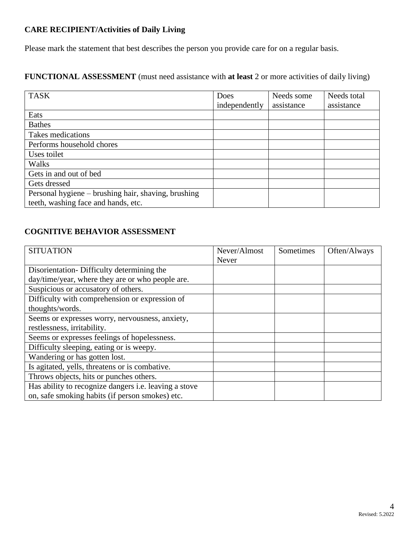# **CARE RECIPIENT/Activities of Daily Living**

Please mark the statement that best describes the person you provide care for on a regular basis.

# **FUNCTIONAL ASSESSMENT** (must need assistance with **at least** 2 or more activities of daily living)

| <b>TASK</b>                                         | Does          | Needs some | Needs total |
|-----------------------------------------------------|---------------|------------|-------------|
|                                                     | independently | assistance | assistance  |
| Eats                                                |               |            |             |
| <b>Bathes</b>                                       |               |            |             |
| Takes medications                                   |               |            |             |
| Performs household chores                           |               |            |             |
| Uses toilet                                         |               |            |             |
| Walks                                               |               |            |             |
| Gets in and out of bed                              |               |            |             |
| Gets dressed                                        |               |            |             |
| Personal hygiene – brushing hair, shaving, brushing |               |            |             |
| teeth, washing face and hands, etc.                 |               |            |             |

# **COGNITIVE BEHAVIOR ASSESSMENT**

| <b>SITUATION</b>                                             | Never/Almost | Sometimes | Often/Always |
|--------------------------------------------------------------|--------------|-----------|--------------|
|                                                              | Never        |           |              |
| Disorientation-Difficulty determining the                    |              |           |              |
| day/time/year, where they are or who people are.             |              |           |              |
| Suspicious or accusatory of others.                          |              |           |              |
| Difficulty with comprehension or expression of               |              |           |              |
| thoughts/words.                                              |              |           |              |
| Seems or expresses worry, nervousness, anxiety,              |              |           |              |
| restlessness, irritability.                                  |              |           |              |
| Seems or expresses feelings of hopelessness.                 |              |           |              |
| Difficulty sleeping, eating or is weepy.                     |              |           |              |
| Wandering or has gotten lost.                                |              |           |              |
| Is agitated, yells, threatens or is combative.               |              |           |              |
| Throws objects, hits or punches others.                      |              |           |              |
| Has ability to recognize dangers <i>i.e.</i> leaving a stove |              |           |              |
| on, safe smoking habits (if person smokes) etc.              |              |           |              |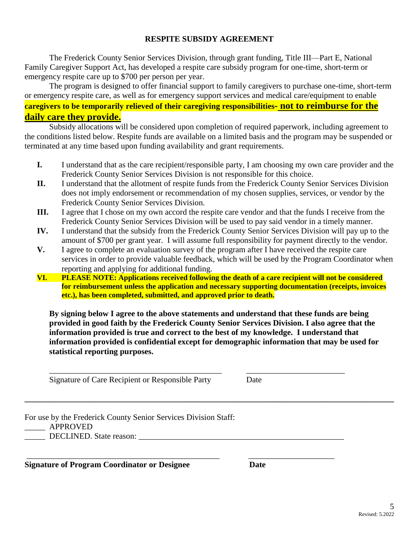#### **RESPITE SUBSIDY AGREEMENT**

The Frederick County Senior Services Division, through grant funding, Title III—Part E, National Family Caregiver Support Act, has developed a respite care subsidy program for one-time, short-term or emergency respite care up to \$700 per person per year.

The program is designed to offer financial support to family caregivers to purchase one-time, short-term or emergency respite care, as well as for emergency support services and medical care/equipment to enable **caregivers to be temporarily relieved of their caregiving responsibilities- not to reimburse for the daily care they provide.**

Subsidy allocations will be considered upon completion of required paperwork, including agreement to the conditions listed below. Respite funds are available on a limited basis and the program may be suspended or terminated at any time based upon funding availability and grant requirements.

- **I.** I understand that as the care recipient/responsible party, I am choosing my own care provider and the Frederick County Senior Services Division is not responsible for this choice.
- **II.** I understand that the allotment of respite funds from the Frederick County Senior Services Division does not imply endorsement or recommendation of my chosen supplies, services, or vendor by the Frederick County Senior Services Division.
- **III.** I agree that I chose on my own accord the respite care vendor and that the funds I receive from the Frederick County Senior Services Division will be used to pay said vendor in a timely manner.
- **IV.** I understand that the subsidy from the Frederick County Senior Services Division will pay up to the amount of \$700 per grant year. I will assume full responsibility for payment directly to the vendor.
- **V.** I agree to complete an evaluation survey of the program after I have received the respite care services in order to provide valuable feedback, which will be used by the Program Coordinator when reporting and applying for additional funding.
- **VI. PLEASE NOTE: Applications received following the death of a care recipient will not be considered for reimbursement unless the application and necessary supporting documentation (receipts, invoices etc.), has been completed, submitted, and approved prior to death.**

**By signing below I agree to the above statements and understand that these funds are being provided in good faith by the Frederick County Senior Services Division. I also agree that the information provided is true and correct to the best of my knowledge. I understand that information provided is confidential except for demographic information that may be used for statistical reporting purposes.**

\_\_\_\_\_\_\_\_\_\_\_\_\_\_\_\_\_\_\_\_\_\_\_\_\_\_\_\_\_\_\_\_\_\_\_\_\_\_\_\_\_\_ \_\_\_\_\_\_\_\_\_\_\_\_\_\_\_\_\_\_\_\_\_\_\_\_ Signature of Care Recipient or Responsible Party Date **\_\_\_\_\_\_\_\_\_\_\_\_\_\_\_\_\_\_\_\_\_\_\_\_\_\_\_\_\_\_\_\_\_\_\_\_\_\_\_\_\_\_\_\_\_\_\_\_\_\_\_\_\_\_\_\_\_\_\_\_\_\_\_\_\_\_\_\_\_\_\_\_\_\_\_\_\_\_\_\_\_\_\_\_\_\_\_\_\_\_** For use by the Frederick County Senior Services Division Staff: \_\_\_\_\_ APPROVED \_\_\_\_\_ DECLINED. State reason: \_\_\_\_\_\_\_\_\_\_\_\_\_\_\_\_\_\_\_\_\_\_\_\_\_\_\_\_\_\_\_\_\_\_\_\_\_\_\_\_\_\_\_\_\_\_\_\_\_\_ \_\_\_\_\_\_\_\_\_\_\_\_\_\_\_\_\_\_\_\_\_\_\_\_\_\_\_\_\_\_\_\_\_\_\_\_\_\_\_\_\_\_\_\_\_\_\_ \_\_\_\_\_\_\_\_\_\_\_\_\_\_\_\_\_\_\_\_\_ **Signature of Program Coordinator or Designee Date**